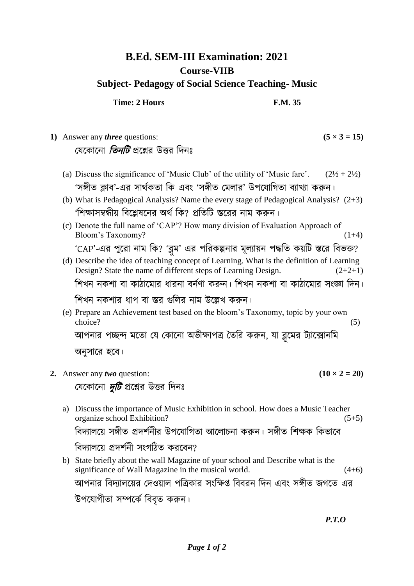## **B.Ed. SEM-III Examination: 2021 Course-VIIB Subject- Pedagogy of Social Science Teaching- Music**

**Time: 2 Hours F.M. 35** 

**1)** Answer any *three* questions:  $(5 \times 3 = 15)$ যেকোনো *তিনটি* প্রশ্নের উত্তর দিনঃ (a) Discuss the significance of 'Music Club' of the utility of 'Music fare'.  $(2\frac{1}{2} + 2\frac{1}{2})$ 'সঙ্গীত ক্লাব'-এর সার্থকতা কি এবং 'সঙ্গীত মেলার' উপযোগিতা ব্যাখ্যা করুন। (b) What is Pedagogical Analysis? Name the every stage of Pedagogical Analysis? (2+3) 'শিক্ষাসম্বন্ধীয় বিশ্লেষনের অর্থ কি? প্রতিটি স্তরের নাম করুন। (c) Denote the full name of 'CAP'? How many division of Evaluation Approach of Bloom's Taxonomy? (1+4) 'CAP'-এর পুরো নাম কি? 'ব্লুম' এর পরিকল্পনার মূল্যায়ন পদ্ধতি কয়টি স্তরে বিভক্ত? (d) Describe the idea of teaching concept of Learning. What is the definition of Learning Design? State the name of different steps of Learning Design.  $(2+2+1)$ শিখন নকশা বা কাঠামোর ধারনা বর্নণা করুন। শিখন নকশা বা কাঠামোর সংজ্ঞা দিন। শিখন নকশার ধাপ বা স্তর গুলির নাম উল্লেখ করুন। (e) Prepare an Achievement test based on the bloom's Taxonomy, topic by your own choice? (5) আপনার পচ্ছন্দ মতো যে কোনো অভীক্ষাপত্র তৈরি করুন, যা ব্লুমের ট্যাক্সোনাম অনুসারে হবে। **2.** Answer any *two* question:  $(10 \times 2 = 20)$ যেকোনো *দুটি* প্রশ্নের উত্তর দিনঃ a) Discuss the importance of Music Exhibition in school. How does a Music Teacher organize school Exhibition? (5+5) বিদ্যালয়ে সঙ্গীত প্রদর্শনীর উপযোগিতা আলোচনা করুন। সঙ্গীত শিক্ষক কিভাবে বিদ্যালয়ে প্রদর্শনী সংগঠিত করবেন? b) State briefly about the wall Magazine of your school and Describe what is the significance of Wall Magazine in the musical world.  $(4+6)$ আপনার বিদ্যালয়ের দেওয়াল পত্রিকার সংক্ষিপ্ত বিবরন দিন এবং সঙ্গীত জগতে এর

উপযোগীতা সম্পৰ্কে বিবত কৰুন।

*P.T.O*